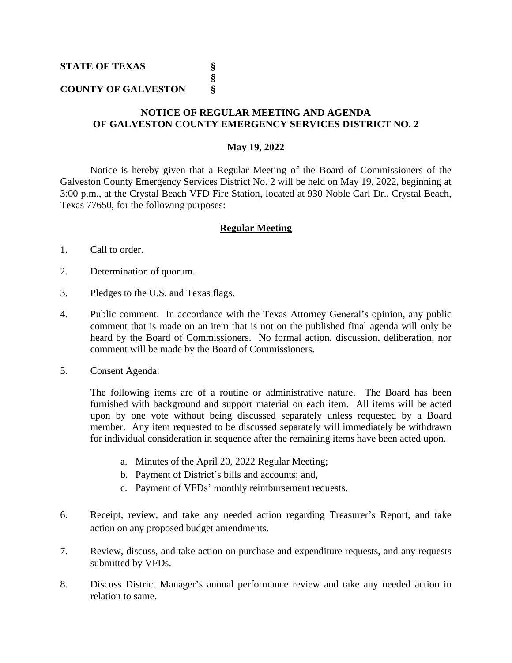## **COUNTY OF GALVESTON §**

## **NOTICE OF REGULAR MEETING AND AGENDA OF GALVESTON COUNTY EMERGENCY SERVICES DISTRICT NO. 2**

**§**

## **May 19, 2022**

Notice is hereby given that a Regular Meeting of the Board of Commissioners of the Galveston County Emergency Services District No. 2 will be held on May 19, 2022, beginning at 3:00 p.m., at the Crystal Beach VFD Fire Station, located at 930 Noble Carl Dr., Crystal Beach, Texas 77650, for the following purposes:

## **Regular Meeting**

- 1. Call to order.
- 2. Determination of quorum.
- 3. Pledges to the U.S. and Texas flags.
- 4. Public comment. In accordance with the Texas Attorney General's opinion, any public comment that is made on an item that is not on the published final agenda will only be heard by the Board of Commissioners. No formal action, discussion, deliberation, nor comment will be made by the Board of Commissioners.
- 5. Consent Agenda:

The following items are of a routine or administrative nature. The Board has been furnished with background and support material on each item. All items will be acted upon by one vote without being discussed separately unless requested by a Board member. Any item requested to be discussed separately will immediately be withdrawn for individual consideration in sequence after the remaining items have been acted upon.

- a. Minutes of the April 20, 2022 Regular Meeting;
- b. Payment of District's bills and accounts; and,
- c. Payment of VFDs' monthly reimbursement requests.
- 6. Receipt, review, and take any needed action regarding Treasurer's Report, and take action on any proposed budget amendments.
- 7. Review, discuss, and take action on purchase and expenditure requests, and any requests submitted by VFDs.
- 8. Discuss District Manager's annual performance review and take any needed action in relation to same.